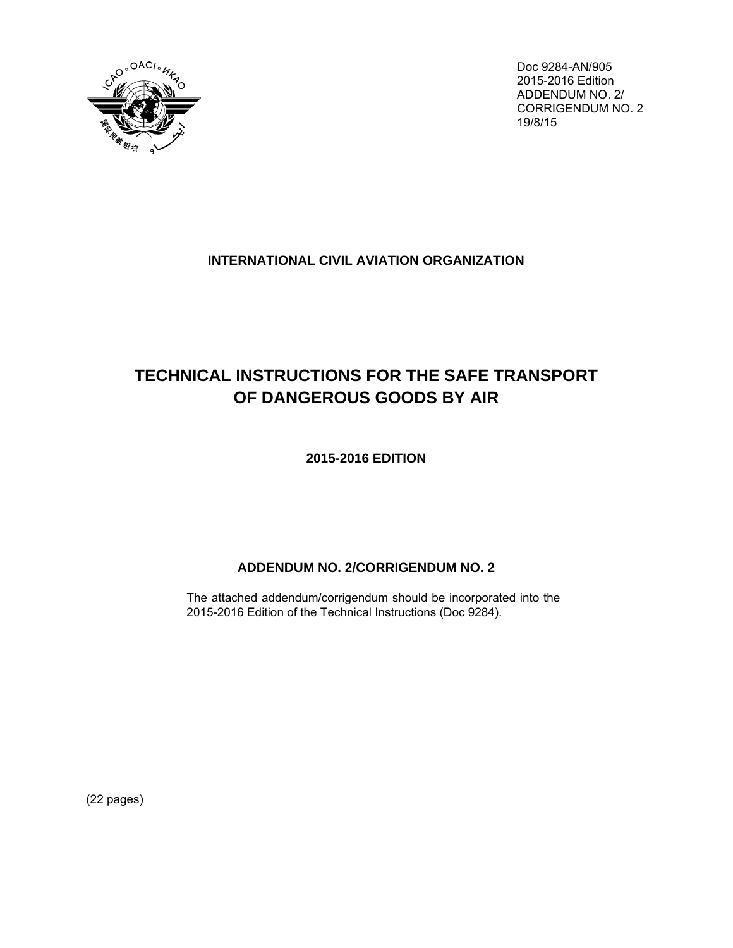

Doc 9284-AN/905 2015-2016 Edition ADDENDUM NO. 2/ CORRIGENDUM NO. 2 19/8/15

# **INTERNATIONAL CIVIL AVIATION ORGANIZATION**

# **TECHNICAL INSTRUCTIONS FOR THE SAFE TRANSPORT OF DANGEROUS GOODS BY AIR**

**2015-2016 EDITION**

# **ADDENDUM NO. 2/CORRIGENDUM NO. 2**

The attached addendum/corrigendum should be incorporated into the 2015-2016 Edition of the Technical Instructions (Doc 9284).

(22 pages)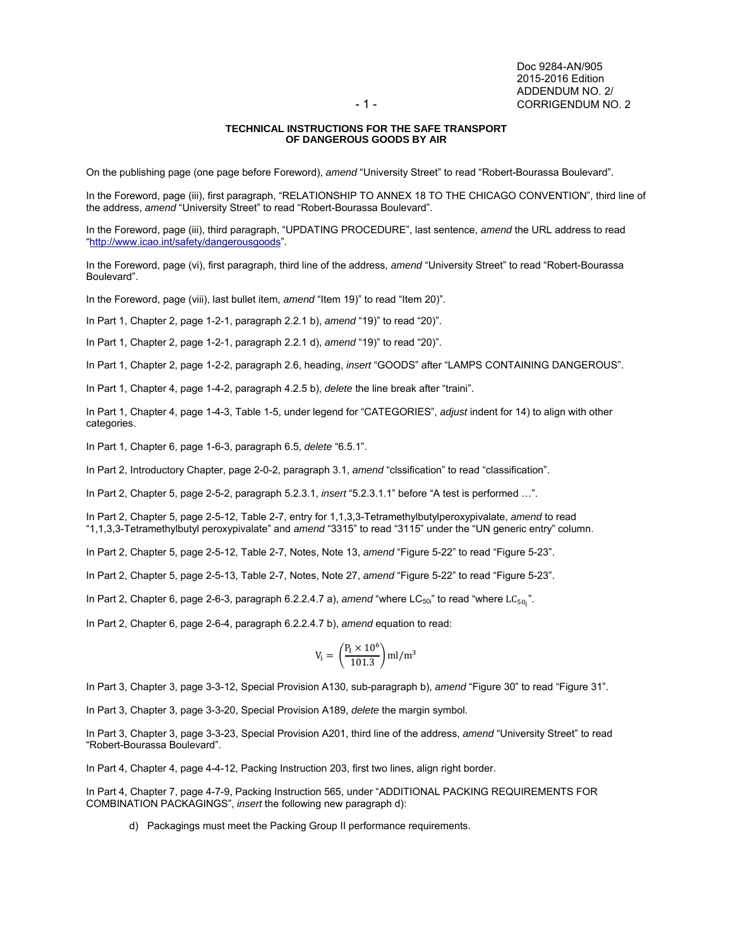### **TECHNICAL INSTRUCTIONS FOR THE SAFE TRANSPORT OF DANGEROUS GOODS BY AIR**

On the publishing page (one page before Foreword), *amend* "University Street" to read "Robert-Bourassa Boulevard".

In the Foreword, page (iii), first paragraph, "RELATIONSHIP TO ANNEX 18 TO THE CHICAGO CONVENTION", third line of the address, *amend* "University Street" to read "Robert-Bourassa Boulevard".

In the Foreword, page (iii), third paragraph, "UPDATING PROCEDURE", last sentence, *amend* the URL address to read "http://www.icao.int/safety/dangerousgoods".

In the Foreword, page (vi), first paragraph, third line of the address, *amend* "University Street" to read "Robert-Bourassa Boulevard".

In the Foreword, page (viii), last bullet item, *amend* "Item 19)" to read "Item 20)".

In Part 1, Chapter 2, page 1-2-1, paragraph 2.2.1 b), *amend* "19)" to read "20)".

In Part 1, Chapter 2, page 1-2-1, paragraph 2.2.1 d), *amend* "19)" to read "20)".

In Part 1, Chapter 2, page 1-2-2, paragraph 2.6, heading, *insert* "GOODS" after "LAMPS CONTAINING DANGEROUS".

In Part 1, Chapter 4, page 1-4-2, paragraph 4.2.5 b), *delete* the line break after "traini".

In Part 1, Chapter 4, page 1-4-3, Table 1-5, under legend for "CATEGORIES", *adjust* indent for 14) to align with other categories.

In Part 1, Chapter 6, page 1-6-3, paragraph 6.5, *delete* "6.5.1".

In Part 2, Introductory Chapter, page 2-0-2, paragraph 3.1, *amend* "clssification" to read "classification".

In Part 2, Chapter 5, page 2-5-2, paragraph 5.2.3.1, *insert* "5.2.3.1.1" before "A test is performed …".

In Part 2, Chapter 5, page 2-5-12, Table 2-7, entry for 1,1,3,3-Tetramethylbutylperoxypivalate, *amend* to read "1,1,3,3-Tetramethylbutyl peroxypivalate" and *amend* "3315" to read "3115" under the "UN generic entry" column.

In Part 2, Chapter 5, page 2-5-12, Table 2-7, Notes, Note 13, *amend* "Figure 5-22" to read "Figure 5-23".

In Part 2, Chapter 5, page 2-5-13, Table 2-7, Notes, Note 27, *amend* "Figure 5-22" to read "Figure 5-23".

In Part 2, Chapter 6, page 2-6-3, paragraph 6.2.2.4.7 a), *amend* "where LC<sub>50i</sub>" to read "where LC<sub>50<sub>i</sub>".</sub>

In Part 2, Chapter 6, page 2-6-4, paragraph 6.2.2.4.7 b), *amend* equation to read:

$$
V_i=\left(\frac{P_I\times 10^6}{101.3}\right)ml/m^3
$$

In Part 3, Chapter 3, page 3-3-12, Special Provision A130, sub-paragraph b), *amend* "Figure 30" to read "Figure 31".

In Part 3, Chapter 3, page 3-3-20, Special Provision A189, *delete* the margin symbol.

In Part 3, Chapter 3, page 3-3-23, Special Provision A201, third line of the address, *amend* "University Street" to read "Robert-Bourassa Boulevard".

In Part 4, Chapter 4, page 4-4-12, Packing Instruction 203, first two lines, align right border.

In Part 4, Chapter 7, page 4-7-9, Packing Instruction 565, under "ADDITIONAL PACKING REQUIREMENTS FOR COMBINATION PACKAGINGS", *insert* the following new paragraph d):

d) Packagings must meet the Packing Group II performance requirements.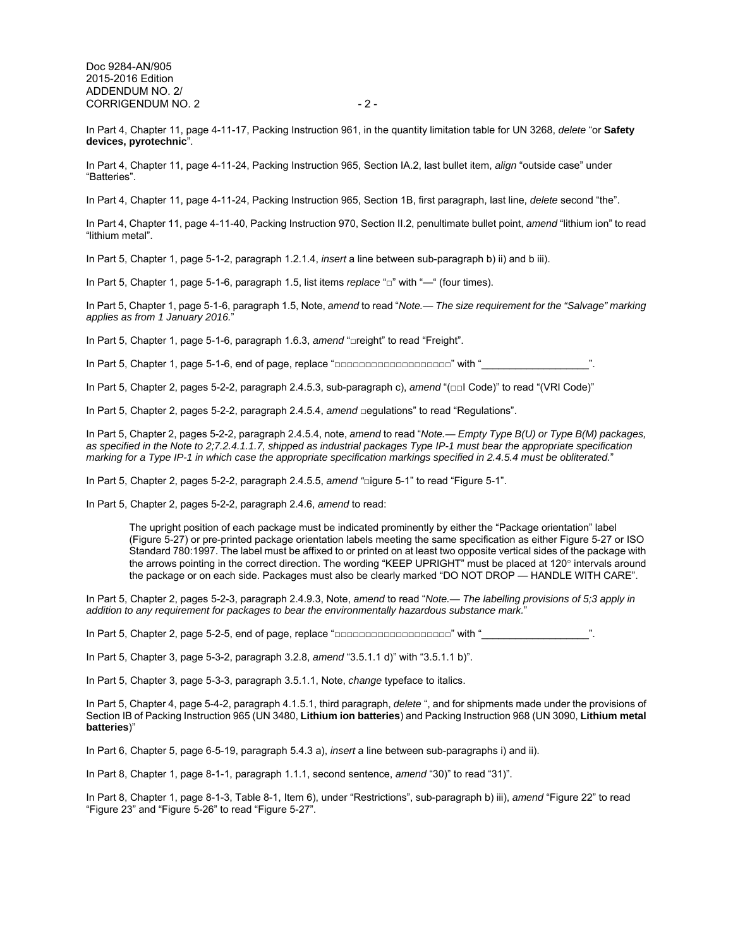Doc 9284-AN/905 2015-2016 Edition ADDENDUM NO. 2/ CORRIGENDUM NO. 2 - 2 -

In Part 4, Chapter 11, page 4-11-17, Packing Instruction 961, in the quantity limitation table for UN 3268, *delete* "or **Safety devices, pyrotechnic**".

In Part 4, Chapter 11, page 4-11-24, Packing Instruction 965, Section IA.2, last bullet item, *align* "outside case" under "Batteries".

In Part 4, Chapter 11, page 4-11-24, Packing Instruction 965, Section 1B, first paragraph, last line, *delete* second "the".

In Part 4, Chapter 11, page 4-11-40, Packing Instruction 970, Section II.2, penultimate bullet point, *amend* "lithium ion" to read "lithium metal".

In Part 5, Chapter 1, page 5-1-2, paragraph 1.2.1.4, *insert* a line between sub-paragraph b) ii) and b iii).

In Part 5, Chapter 1, page 5-1-6, paragraph 1.5, list items *replace* "□" with "—" (four times).

In Part 5, Chapter 1, page 5-1-6, paragraph 1.5, Note, *amend* to read "*Note.— The size requirement for the "Salvage" marking applies as from 1 January 2016.*"

In Part 5, Chapter 1, page 5-1-6, paragraph 1.6.3, *amend* "□reight" to read "Freight".

In Part 5, Chapter 1, page 5-1-6, end of page, replace "□□□□□□□□□□□□□□□□□□□□□ with "

In Part 5, Chapter 2, pages 5-2-2, paragraph 2.4.5.3, sub-paragraph c), *amend* "(□□I Code)" to read "(VRI Code)"

In Part 5, Chapter 2, pages 5-2-2, paragraph 2.4.5.4, *amend* □egulations" to read "Regulations".

In Part 5, Chapter 2, pages 5-2-2, paragraph 2.4.5.4, note, *amend* to read "*Note.— Empty Type B(U) or Type B(M) packages, as specified in the Note to 2;7.2.4.1.1.7, shipped as industrial packages Type IP-1 must bear the appropriate specification marking for a Type IP-1 in which case the appropriate specification markings specified in 2.4.5.4 must be obliterated.*"

In Part 5, Chapter 2, pages 5-2-2, paragraph 2.4.5.5, *amend "*□igure 5-1" to read "Figure 5-1".

In Part 5, Chapter 2, pages 5-2-2, paragraph 2.4.6, *amend* to read:

The upright position of each package must be indicated prominently by either the "Package orientation" label (Figure 5-27) or pre-printed package orientation labels meeting the same specification as either Figure 5-27 or ISO Standard 780:1997. The label must be affixed to or printed on at least two opposite vertical sides of the package with the arrows pointing in the correct direction. The wording "KEEP UPRIGHT" must be placed at 120° intervals around the package or on each side. Packages must also be clearly marked "DO NOT DROP — HANDLE WITH CARE".

In Part 5, Chapter 2, pages 5-2-3, paragraph 2.4.9.3, Note, *amend* to read "*Note.— The labelling provisions of 5;3 apply in addition to any requirement for packages to bear the environmentally hazardous substance mark.*"

In Part 5, Chapter 2, page 5-2-5, end of page, replace "□□□□□□□□□□□□□□□□□□□□□" with "

In Part 5, Chapter 3, page 5-3-2, paragraph 3.2.8, *amend* "3.5.1.1 d)" with "3.5.1.1 b)".

In Part 5, Chapter 3, page 5-3-3, paragraph 3.5.1.1, Note, *change* typeface to italics.

In Part 5, Chapter 4, page 5-4-2, paragraph 4.1.5.1, third paragraph, *delete* ", and for shipments made under the provisions of Section IB of Packing Instruction 965 (UN 3480, **Lithium ion batteries**) and Packing Instruction 968 (UN 3090, **Lithium metal batteries**)"

In Part 6, Chapter 5, page 6-5-19, paragraph 5.4.3 a), *insert* a line between sub-paragraphs i) and ii).

In Part 8, Chapter 1, page 8-1-1, paragraph 1.1.1, second sentence, *amend* "30)" to read "31)".

In Part 8, Chapter 1, page 8-1-3, Table 8-1, Item 6), under "Restrictions", sub-paragraph b) iii), *amend* "Figure 22" to read "Figure 23" and "Figure 5-26" to read "Figure 5-27".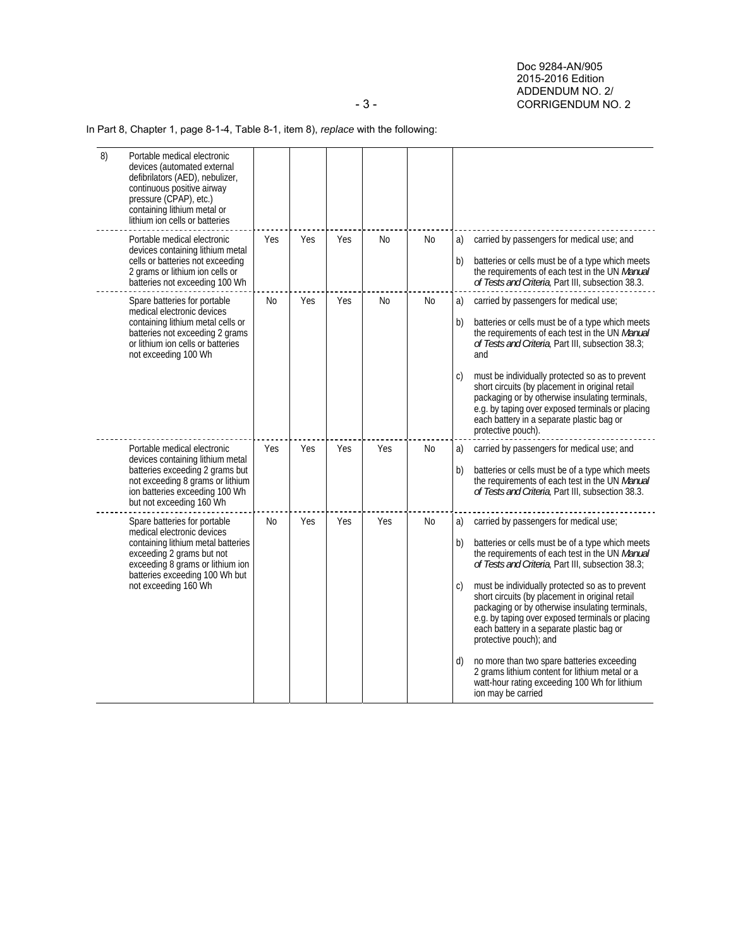Doc 9284-AN/905 2015-2016 Edition ADDENDUM NO. 2/<br>- 3 - CORRIGENDUM NO CORRIGENDUM NO. 2

# In Part 8, Chapter 1, page 8-1-4, Table 8-1, item 8), *replace* with the following:

| 8) | Portable medical electronic<br>devices (automated external<br>defibrilators (AED), nebulizer,<br>continuous positive airway<br>pressure (CPAP), etc.)<br>containing lithium metal or<br>lithium ion cells or batteries      |           |     |     |           |                |                                                                                                                                                                                                                                                                                                                                                                                                                                                                                                                                                                                                                                                                                      |
|----|-----------------------------------------------------------------------------------------------------------------------------------------------------------------------------------------------------------------------------|-----------|-----|-----|-----------|----------------|--------------------------------------------------------------------------------------------------------------------------------------------------------------------------------------------------------------------------------------------------------------------------------------------------------------------------------------------------------------------------------------------------------------------------------------------------------------------------------------------------------------------------------------------------------------------------------------------------------------------------------------------------------------------------------------|
|    | Portable medical electronic<br>devices containing lithium metal<br>cells or batteries not exceeding<br>2 grams or lithium ion cells or<br>batteries not exceeding 100 Wh                                                    | Yes       | Yes | Yes | No        | No             | carried by passengers for medical use; and<br>a)<br>batteries or cells must be of a type which meets<br>b)<br>the requirements of each test in the UN Manual<br>of Tests and Criteria, Part III, subsection 38.3.                                                                                                                                                                                                                                                                                                                                                                                                                                                                    |
|    | Spare batteries for portable<br>medical electronic devices<br>containing lithium metal cells or<br>batteries not exceeding 2 grams<br>or lithium ion cells or batteries<br>not exceeding 100 Wh                             | <b>No</b> | Yes | Yes | <b>No</b> | N <sub>0</sub> | a)<br>carried by passengers for medical use;<br>batteries or cells must be of a type which meets<br>b)<br>the requirements of each test in the UN Manual<br>of Tests and Criteria, Part III, subsection 38.3;<br>and<br>must be individually protected so as to prevent<br>C)<br>short circuits (by placement in original retail<br>packaging or by otherwise insulating terminals,<br>e.g. by taping over exposed terminals or placing<br>each battery in a separate plastic bag or<br>protective pouch).                                                                                                                                                                           |
|    | Portable medical electronic<br>devices containing lithium metal<br>batteries exceeding 2 grams but<br>not exceeding 8 grams or lithium<br>ion batteries exceeding 100 Wh<br>but not exceeding 160 Wh                        | Yes       | Yes | Yes | Yes       | No             | carried by passengers for medical use; and<br>a)<br>batteries or cells must be of a type which meets<br>b)<br>the requirements of each test in the UN Manual<br>of Tests and Criteria, Part III, subsection 38.3.                                                                                                                                                                                                                                                                                                                                                                                                                                                                    |
|    | Spare batteries for portable<br>medical electronic devices<br>containing lithium metal batteries<br>exceeding 2 grams but not<br>exceeding 8 grams or lithium ion<br>batteries exceeding 100 Wh but<br>not exceeding 160 Wh | No.       | Yes | Yes | Yes       | No             | a)<br>carried by passengers for medical use;<br>b)<br>batteries or cells must be of a type which meets<br>the requirements of each test in the UN Manual<br>of Tests and Criteria, Part III, subsection 38.3;<br>must be individually protected so as to prevent<br>C)<br>short circuits (by placement in original retail<br>packaging or by otherwise insulating terminals,<br>e.g. by taping over exposed terminals or placing<br>each battery in a separate plastic bag or<br>protective pouch); and<br>d)<br>no more than two spare batteries exceeding<br>2 grams lithium content for lithium metal or a<br>watt-hour rating exceeding 100 Wh for lithium<br>ion may be carried |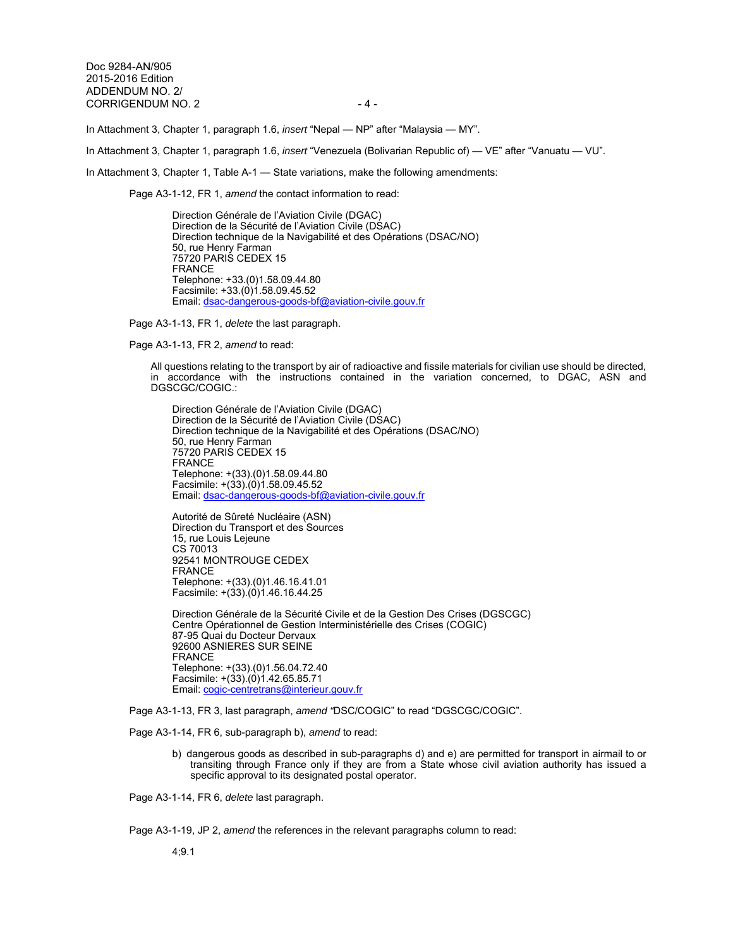Doc 9284-AN/905 2015-2016 Edition ADDENDUM NO. 2/ CORRIGENDUM NO. 2 4 -

In Attachment 3, Chapter 1, paragraph 1.6, *insert* "Nepal — NP" after "Malaysia — MY".

In Attachment 3, Chapter 1, paragraph 1.6, *insert* "Venezuela (Bolivarian Republic of) — VE" after "Vanuatu — VU".

In Attachment 3, Chapter 1, Table A-1 — State variations, make the following amendments:

Page A3-1-12, FR 1, *amend* the contact information to read:

Direction Générale de l'Aviation Civile (DGAC) Direction de la Sécurité de l'Aviation Civile (DSAC) Direction technique de la Navigabilité et des Opérations (DSAC/NO) 50, rue Henry Farman 75720 PARIS CEDEX 15 FRANCE Telephone: +33.(0)1.58.09.44.80 Facsimile: +33.(0)1.58.09.45.52 Email: dsac-dangerous-goods-bf@aviation-civile.gouv.fr

Page A3-1-13, FR 1, *delete* the last paragraph.

Page A3-1-13, FR 2, *amend* to read:

All questions relating to the transport by air of radioactive and fissile materials for civilian use should be directed, in accordance with the instructions contained in the variation concerned, to DGAC, ASN and DGSCGC/COGIC.:

Direction Générale de l'Aviation Civile (DGAC) Direction de la Sécurité de l'Aviation Civile (DSAC) Direction technique de la Navigabilité et des Opérations (DSAC/NO) 50, rue Henry Farman 75720 PARIS CEDEX 15 FRANCE Telephone: +(33).(0)1.58.09.44.80 Facsimile:  $+(33)(0)1.58.09.45.52$ Email: dsac-dangerous-goods-bf@aviation-civile.gouv.fr

Autorité de Sûreté Nucléaire (ASN) Direction du Transport et des Sources 15, rue Louis Lejeune CS 70013 92541 MONTROUGE CEDEX FRANCE Telephone: +(33).(0)1.46.16.41.01 Facsimile: +(33).(0)1.46.16.44.25

Direction Générale de la Sécurité Civile et de la Gestion Des Crises (DGSCGC) Centre Opérationnel de Gestion Interministérielle des Crises (COGIC) 87-95 Quai du Docteur Dervaux 92600 ASNIERES SUR SEINE FRANCE Telephone: +(33).(0)1.56.04.72.40 Facsimile: +(33).(0)1.42.65.85.71 Email: cogic-centretrans@interieur.gouv.fr

Page A3-1-13, FR 3, last paragraph, *amend "*DSC/COGIC" to read "DGSCGC/COGIC".

Page A3-1-14, FR 6, sub-paragraph b), *amend* to read:

b) dangerous goods as described in sub-paragraphs d) and e) are permitted for transport in airmail to or transiting through France only if they are from a State whose civil aviation authority has issued a specific approval to its designated postal operator.

Page A3-1-14, FR 6, *delete* last paragraph.

Page A3-1-19, JP 2, *amend* the references in the relevant paragraphs column to read:

4;9.1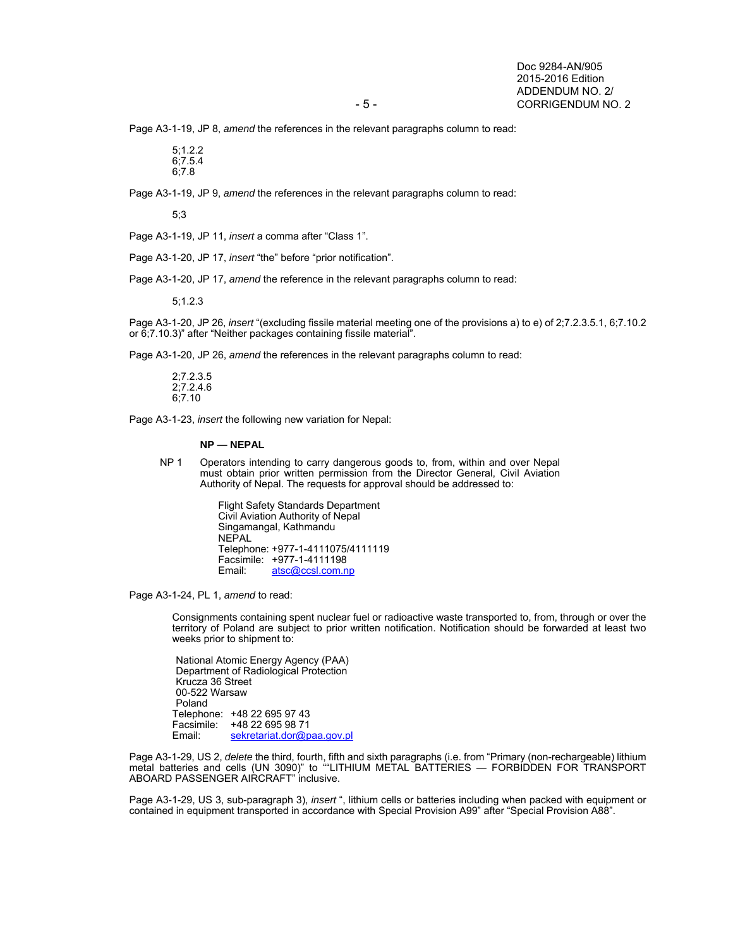Page A3-1-19, JP 8, *amend* the references in the relevant paragraphs column to read:

 $5:1.2.2$ 6;7.5.4 6;7.8

Page A3-1-19, JP 9, *amend* the references in the relevant paragraphs column to read:

5;3

Page A3-1-19, JP 11, *insert* a comma after "Class 1".

Page A3-1-20, JP 17, *insert* "the" before "prior notification".

Page A3-1-20, JP 17, *amend* the reference in the relevant paragraphs column to read:

5;1.2.3

Page A3-1-20, JP 26, *insert* "(excluding fissile material meeting one of the provisions a) to e) of 2;7.2.3.5.1, 6;7.10.2 or 6;7.10.3)" after "Neither packages containing fissile material".

Page A3-1-20, JP 26, *amend* the references in the relevant paragraphs column to read:

2;7.2.3.5 2;7.2.4.6 6;7.10

Page A3-1-23, *insert* the following new variation for Nepal:

#### **NP — NEPAL**

NP 1 Operators intending to carry dangerous goods to, from, within and over Nepal must obtain prior written permission from the Director General, Civil Aviation Authority of Nepal. The requests for approval should be addressed to:

> Flight Safety Standards Department Civil Aviation Authority of Nepal Singamangal, Kathmandu NEPAL Telephone: +977-1-4111075/4111119 Facsimile: +977-1-4111198<br>Email: atsc@ccsl.com.n atsc@ccsl.com.np

Page A3-1-24, PL 1, *amend* to read:

Consignments containing spent nuclear fuel or radioactive waste transported to, from, through or over the territory of Poland are subject to prior written notification. Notification should be forwarded at least two weeks prior to shipment to:

 National Atomic Energy Agency (PAA) Department of Radiological Protection Krucza 36 Street 00-522 Warsaw Poland Telephone: +48 22 695 97 43 Facsimile:  $+48$  22 695 98 71<br>Email: sekretariat.dor@p sekretariat.dor@paa.gov.pl

Page A3-1-29, US 2, *delete* the third, fourth, fifth and sixth paragraphs (i.e. from "Primary (non-rechargeable) lithium metal batteries and cells (UN 3090)" to ""LITHIUM METAL BATTERIES — FORBIDDEN FOR TRANSPORT ABOARD PASSENGER AIRCRAFT" inclusive.

Page A3-1-29, US 3, sub-paragraph 3), *insert* ", lithium cells or batteries including when packed with equipment or contained in equipment transported in accordance with Special Provision A99" after "Special Provision A88".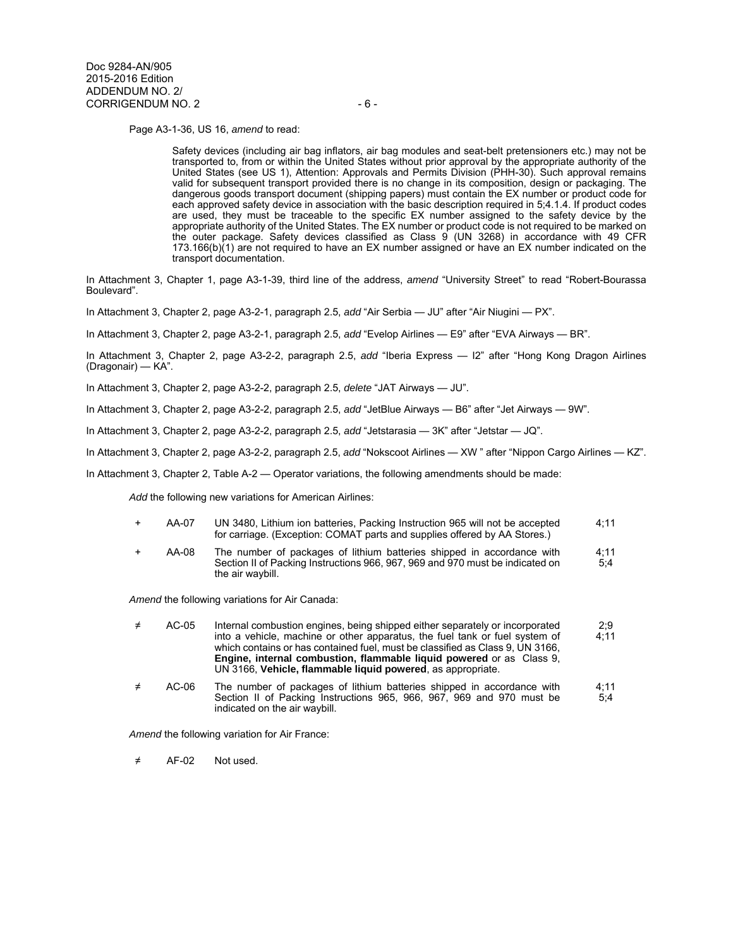Page A3-1-36, US 16, *amend* to read:

Safety devices (including air bag inflators, air bag modules and seat-belt pretensioners etc.) may not be transported to, from or within the United States without prior approval by the appropriate authority of the United States (see US 1), Attention: Approvals and Permits Division (PHH-30). Such approval remains valid for subsequent transport provided there is no change in its composition, design or packaging. The dangerous goods transport document (shipping papers) must contain the EX number or product code for each approved safety device in association with the basic description required in 5;4.1.4. If product codes are used, they must be traceable to the specific EX number assigned to the safety device by the appropriate authority of the United States. The EX number or product code is not required to be marked on the outer package. Safety devices classified as Class 9 (UN 3268) in accordance with 49 CFR  $173.166(b)(1)$  are not required to have an EX number assigned or have an EX number indicated on the transport documentation.

In Attachment 3, Chapter 1, page A3-1-39, third line of the address, *amend* "University Street" to read "Robert-Bourassa Boulevard".

In Attachment 3, Chapter 2, page A3-2-1, paragraph 2.5, *add* "Air Serbia — JU" after "Air Niugini — PX".

In Attachment 3, Chapter 2, page A3-2-1, paragraph 2.5, *add* "Evelop Airlines — E9" after "EVA Airways — BR".

In Attachment 3, Chapter 2, page A3-2-2, paragraph 2.5, *add* "Iberia Express — I2" after "Hong Kong Dragon Airlines (Dragonair) — KA".

In Attachment 3, Chapter 2, page A3-2-2, paragraph 2.5, *delete* "JAT Airways — JU".

In Attachment 3, Chapter 2, page A3-2-2, paragraph 2.5, *add* "JetBlue Airways — B6" after "Jet Airways — 9W".

In Attachment 3, Chapter 2, page A3-2-2, paragraph 2.5, *add* "Jetstarasia — 3K" after "Jetstar — JQ".

In Attachment 3, Chapter 2, page A3-2-2, paragraph 2.5, *add* "Nokscoot Airlines — XW " after "Nippon Cargo Airlines — KZ".

In Attachment 3, Chapter 2, Table A-2 — Operator variations, the following amendments should be made:

*Add* the following new variations for American Airlines:

- AA-07 UN 3480, Lithium ion batteries, Packing Instruction 965 will not be accepted for carriage. (Exception: COMAT parts and supplies offered by AA Stores.) 4;11
- AA-08 The number of packages of lithium batteries shipped in accordance with Section II of Packing Instructions 966, 967, 969 and 970 must be indicated on the air waybill. 4;11 5;4

*Amend* the following variations for Air Canada:

| ≠ | AC-05 | Internal combustion engines, being shipped either separately or incorporated  | 2:9  |
|---|-------|-------------------------------------------------------------------------------|------|
|   |       | into a vehicle, machine or other apparatus, the fuel tank or fuel system of   | 4:11 |
|   |       | which contains or has contained fuel, must be classified as Class 9, UN 3166, |      |
|   |       | <b>Engine, internal combustion, flammable liquid powered or as Class 9.</b>   |      |
|   |       | UN 3166, Vehicle, flammable liquid powered, as appropriate.                   |      |
|   |       |                                                                               |      |

≠ AC-06 The number of packages of lithium batteries shipped in accordance with Section II of Packing Instructions 965, 966, 967, 969 and 970 must be indicated on the air waybill. 4;11 5;4

*Amend* the following variation for Air France:

≠ AF-02 Not used.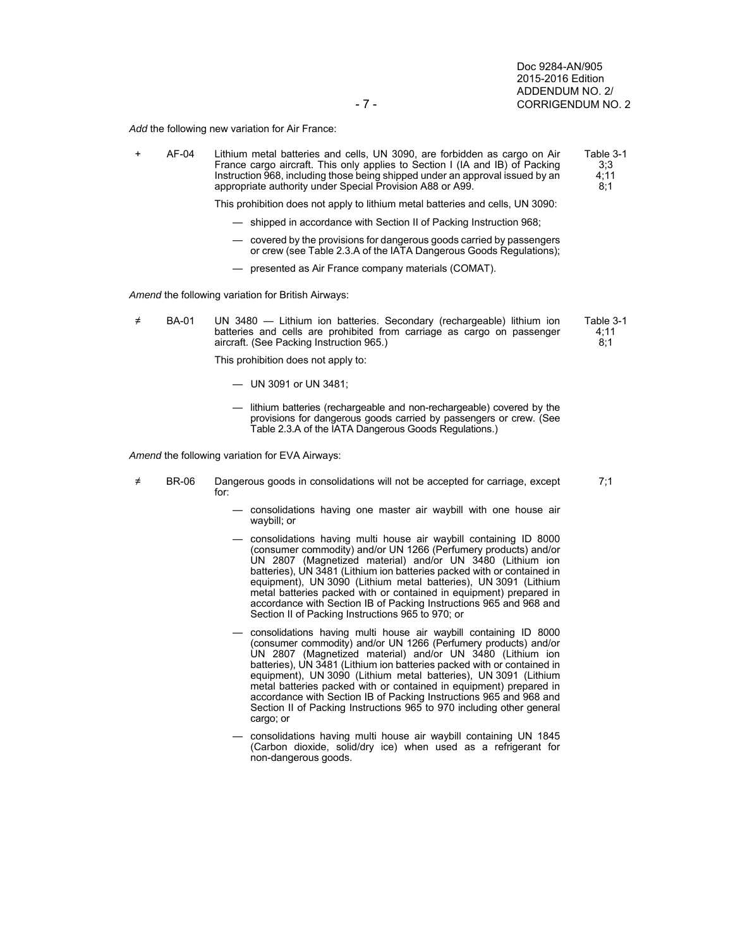Table 3-1 4;11  $8:1$ 

7;1

*Add* the following new variation for Air France:

+ AF-04 Lithium metal batteries and cells, UN 3090, are forbidden as cargo on Air France cargo aircraft. This only applies to Section I (IA and IB) of Packing Instruction 968, including those being shipped under an approval issued by an appropriate authority under Special Provision A88 or A99. Table 3-1 3;3 4;11 8;1

This prohibition does not apply to lithium metal batteries and cells, UN 3090:

- shipped in accordance with Section II of Packing Instruction 968;
- covered by the provisions for dangerous goods carried by passengers or crew (see Table 2.3.A of the IATA Dangerous Goods Regulations);
- presented as Air France company materials (COMAT).

*Amend* the following variation for British Airways:

≠ BA-01 UN 3480 — Lithium ion batteries. Secondary (rechargeable) lithium ion batteries and cells are prohibited from carriage as cargo on passenger aircraft. (See Packing Instruction 965.)

This prohibition does not apply to:

- UN 3091 or UN 3481;
- lithium batteries (rechargeable and non-rechargeable) covered by the provisions for dangerous goods carried by passengers or crew. (See Table 2.3.A of the IATA Dangerous Goods Regulations.)

*Amend* the following variation for EVA Airways:

- ≠ BR-06 Dangerous goods in consolidations will not be accepted for carriage, except for:
	- consolidations having one master air waybill with one house air waybill; or
	- consolidations having multi house air waybill containing ID 8000 (consumer commodity) and/or UN 1266 (Perfumery products) and/or UN 2807 (Magnetized material) and/or UN 3480 (Lithium ion batteries), UN 3481 (Lithium ion batteries packed with or contained in equipment), UN 3090 (Lithium metal batteries), UN 3091 (Lithium metal batteries packed with or contained in equipment) prepared in accordance with Section IB of Packing Instructions 965 and 968 and Section II of Packing Instructions 965 to 970; or
	- consolidations having multi house air waybill containing ID 8000 (consumer commodity) and/or UN 1266 (Perfumery products) and/or UN 2807 (Magnetized material) and/or UN 3480 (Lithium ion batteries), UN 3481 (Lithium ion batteries packed with or contained in equipment), UN 3090 (Lithium metal batteries), UN 3091 (Lithium metal batteries packed with or contained in equipment) prepared in accordance with Section IB of Packing Instructions 965 and 968 and Section II of Packing Instructions 965 to 970 including other general cargo; or
	- consolidations having multi house air waybill containing UN 1845 (Carbon dioxide, solid/dry ice) when used as a refrigerant for non-dangerous goods.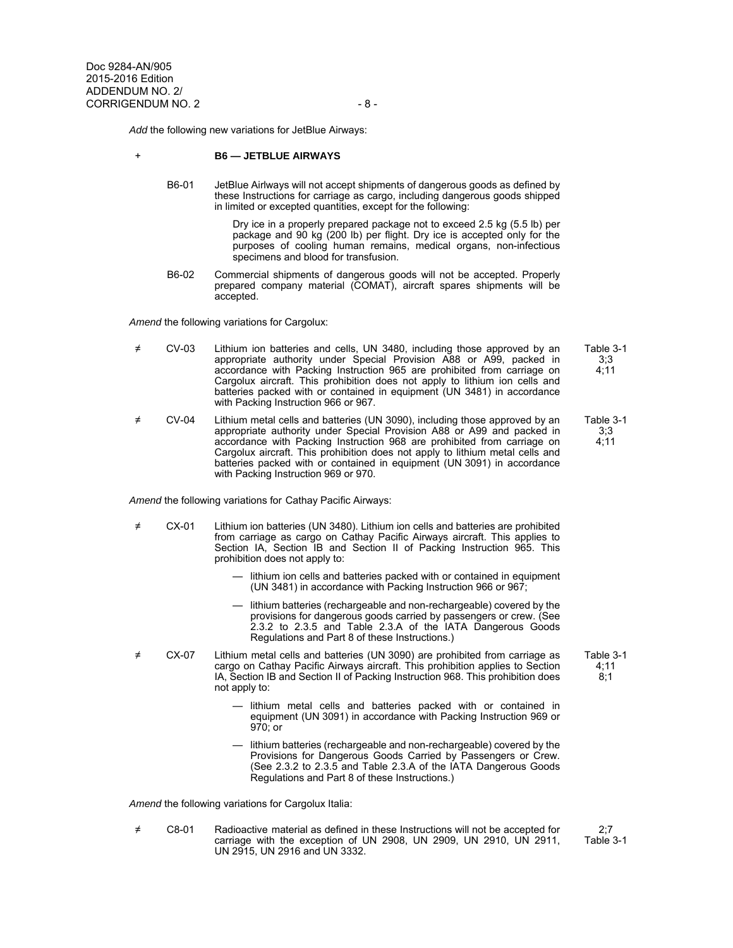*Add* the following new variations for JetBlue Airways:

#### + **B6 — JETBLUE AIRWAYS**

 B6-01 JetBlue Airlways will not accept shipments of dangerous goods as defined by these Instructions for carriage as cargo, including dangerous goods shipped in limited or excepted quantities, except for the following:

> Dry ice in a properly prepared package not to exceed 2.5 kg (5.5 lb) per package and 90 kg (200 lb) per flight. Dry ice is accepted only for the purposes of cooling human remains, medical organs, non-infectious specimens and blood for transfusion.

 B6-02 Commercial shipments of dangerous goods will not be accepted. Properly prepared company material (COMAT), aircraft spares shipments will be accepted.

*Amend* the following variations for Cargolux:

- ≠ CV-03 Lithium ion batteries and cells, UN 3480, including those approved by an appropriate authority under Special Provision A88 or A99, packed in accordance with Packing Instruction 965 are prohibited from carriage on Cargolux aircraft. This prohibition does not apply to lithium ion cells and batteries packed with or contained in equipment (UN 3481) in accordance with Packing Instruction 966 or 967. Table 3-1 3;3 4;11
- ≠ CV-04 Lithium metal cells and batteries (UN 3090), including those approved by an appropriate authority under Special Provision A88 or A99 and packed in accordance with Packing Instruction 968 are prohibited from carriage on Cargolux aircraft. This prohibition does not apply to lithium metal cells and batteries packed with or contained in equipment (UN 3091) in accordance with Packing Instruction 969 or 970. 3;3 4;11

*Amend* the following variations for Cathay Pacific Airways:

- ≠ CX-01 Lithium ion batteries (UN 3480). Lithium ion cells and batteries are prohibited from carriage as cargo on Cathay Pacific Airways aircraft. This applies to Section IA, Section IB and Section II of Packing Instruction 965. This prohibition does not apply to:
	- lithium ion cells and batteries packed with or contained in equipment (UN 3481) in accordance with Packing Instruction 966 or 967;
	- lithium batteries (rechargeable and non-rechargeable) covered by the provisions for dangerous goods carried by passengers or crew. (See 2.3.2 to 2.3.5 and Table 2.3.A of the IATA Dangerous Goods Regulations and Part 8 of these Instructions.)
- ≠ CX-07 Lithium metal cells and batteries (UN 3090) are prohibited from carriage as cargo on Cathay Pacific Airways aircraft. This prohibition applies to Section IA, Section IB and Section II of Packing Instruction 968. This prohibition does not apply to:
	- lithium metal cells and batteries packed with or contained in equipment (UN 3091) in accordance with Packing Instruction 969 or 970; or
	- lithium batteries (rechargeable and non-rechargeable) covered by the Provisions for Dangerous Goods Carried by Passengers or Crew. (See 2.3.2 to 2.3.5 and Table 2.3.A of the IATA Dangerous Goods Regulations and Part 8 of these Instructions.)

*Amend* the following variations for Cargolux Italia:

≠ C8-01 Radioactive material as defined in these Instructions will not be accepted for carriage with the exception of UN 2908, UN 2909, UN 2910, UN 2911, UN 2915, UN 2916 and UN 3332.

2;7 Table 3-1

Table 3-1

Table 3-1 4;11 8;1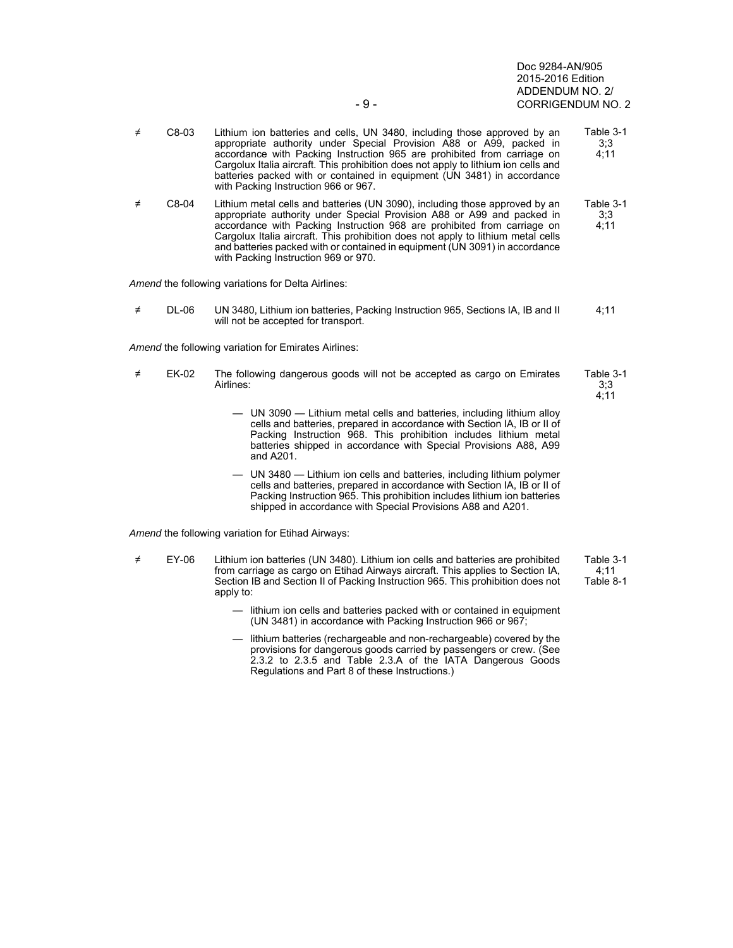Doc 9284-AN/905 2015-2016 Edition ADDENDUM NO. 2/ - 9 - CORRIGENDUM NO. 2

- ≠ C8-03 Lithium ion batteries and cells, UN 3480, including those approved by an appropriate authority under Special Provision A88 or A99, packed in accordance with Packing Instruction 965 are prohibited from carriage on Cargolux Italia aircraft. This prohibition does not apply to lithium ion cells and batteries packed with or contained in equipment (UN 3481) in accordance with Packing Instruction 966 or 967. Table 3-1 3;3 4;11 ≠ C8-04 Lithium metal cells and batteries (UN 3090), including those approved by an appropriate authority under Special Provision A88 or A99 and packed in accordance with Packing Instruction 968 are prohibited from carriage on Cargolux Italia aircraft. This prohibition does not apply to lithium metal cells and batteries packed with or contained in equipment (UN 3091) in accordance with Packing Instruction 969 or 970. Table 3-1 3;3 4;11 *Amend* the following variations for Delta Airlines: ≠ DL-06 UN 3480, Lithium ion batteries, Packing Instruction 965, Sections IA, IB and II will not be accepted for transport. 4;11 *Amend* the following variation for Emirates Airlines: ≠ EK-02 The following dangerous goods will not be accepted as cargo on Emirates Airlines: Table 3-1 3;3  $4:11$  — UN 3090 — Lithium metal cells and batteries, including lithium alloy cells and batteries, prepared in accordance with Section IA, IB or II of Packing Instruction 968. This prohibition includes lithium metal batteries shipped in accordance with Special Provisions A88, A99 and A201. — UN 3480 — Lithium ion cells and batteries, including lithium polymer cells and batteries, prepared in accordance with Section IA, IB or II of Packing Instruction 965. This prohibition includes lithium ion batteries shipped in accordance with Special Provisions A88 and A201. *Amend* the following variation for Etihad Airways: ≠ EY-06 Lithium ion batteries (UN 3480). Lithium ion cells and batteries are prohibited from carriage as cargo on Etihad Airways aircraft. This applies to Section IA, Section IB and Section II of Packing Instruction 965. This prohibition does not apply to: Table 3-1 4;11 Table 8-1 — lithium ion cells and batteries packed with or contained in equipment
	- lithium batteries (rechargeable and non-rechargeable) covered by the provisions for dangerous goods carried by passengers or crew. (See 2.3.2 to 2.3.5 and Table 2.3.A of the IATA Dangerous Goods Regulations and Part 8 of these Instructions.)

(UN 3481) in accordance with Packing Instruction 966 or 967;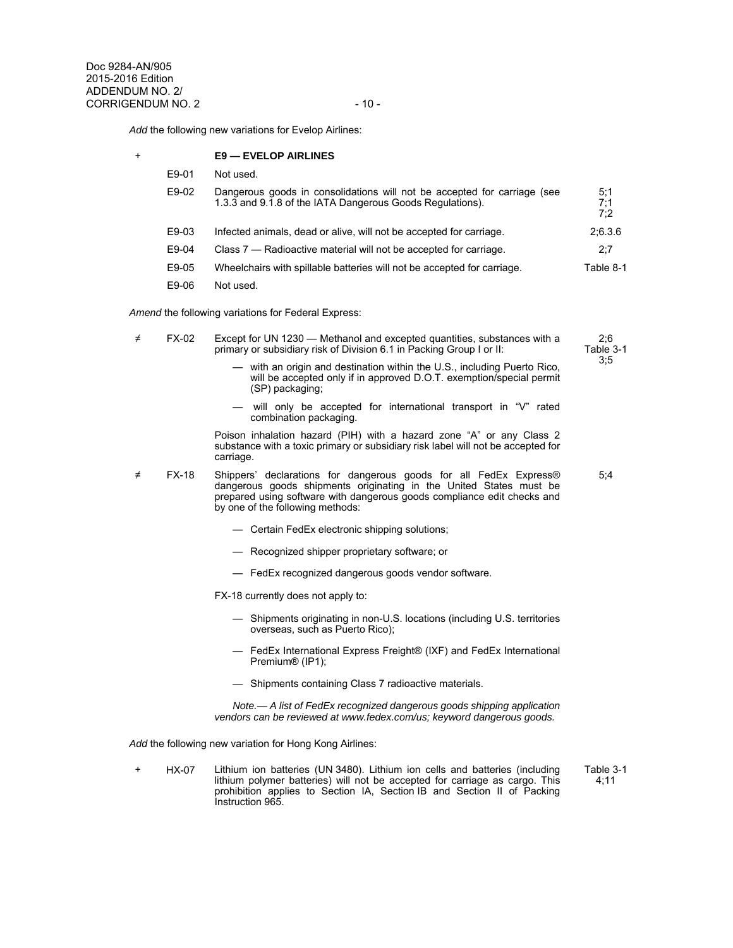*Add* the following new variations for Evelop Airlines:

|  |  | <b>E9 — EVELOP AIRLINES</b> |  |  |  |
|--|--|-----------------------------|--|--|--|
|--|--|-----------------------------|--|--|--|

| E9-01 | Not used.                                                                                                                             |                   |
|-------|---------------------------------------------------------------------------------------------------------------------------------------|-------------------|
| E9-02 | Dangerous goods in consolidations will not be accepted for carriage (see<br>1.3.3 and 9.1.8 of the IATA Dangerous Goods Regulations). | 5,1<br>7,1<br>7:2 |
| E9-03 | Infected animals, dead or alive, will not be accepted for carriage.                                                                   | 2,6.3.6           |
| E9-04 | Class 7 — Radioactive material will not be accepted for carriage.                                                                     | 2,7               |
| E9-05 | Wheelchairs with spillable batteries will not be accepted for carriage.                                                               | Table 8-1         |
| E9-06 | Not used.                                                                                                                             |                   |
|       |                                                                                                                                       |                   |

*Amend* the following variations for Federal Express:

| FX-02 | Except for UN 1230 — Methanol and excepted quantities, substances with a                                       | 2.6       |
|-------|----------------------------------------------------------------------------------------------------------------|-----------|
|       | primary or subsidiary risk of Division 6.1 in Packing Group I or II:                                           | Table 3-1 |
|       | andria de la stata construire arte de la differencia (la fillo de la fillo de la fillo de la fillo de la fillo | 3.5       |

- with an origin and destination within the U.S., including Puerto Rico, will be accepted only if in approved D.O.T. exemption/special permit (SP) packaging;
- will only be accepted for international transport in "V" rated combination packaging.

5;4

 Poison inhalation hazard (PIH) with a hazard zone "A" or any Class 2 substance with a toxic primary or subsidiary risk label will not be accepted for carriage.

≠ FX-18 Shippers' declarations for dangerous goods for all FedEx Express® dangerous goods shipments originating in the United States must be prepared using software with dangerous goods compliance edit checks and by one of the following methods:

- Certain FedEx electronic shipping solutions;
- Recognized shipper proprietary software; or
- FedEx recognized dangerous goods vendor software.

FX-18 currently does not apply to:

- Shipments originating in non-U.S. locations (including U.S. territories overseas, such as Puerto Rico);
- FedEx International Express Freight® (IXF) and FedEx International Premium® (IP1);
- Shipments containing Class 7 radioactive materials.

 *Note.— A list of FedEx recognized dangerous goods shipping application vendors can be reviewed at www.fedex.com/us; keyword dangerous goods.* 

*Add* the following new variation for Hong Kong Airlines:

+ HX-07 Lithium ion batteries (UN 3480). Lithium ion cells and batteries (including lithium polymer batteries) will not be accepted for carriage as cargo. This prohibition applies to Section IA, Section IB and Section II of Packing Instruction 965. Table 3-1 4;11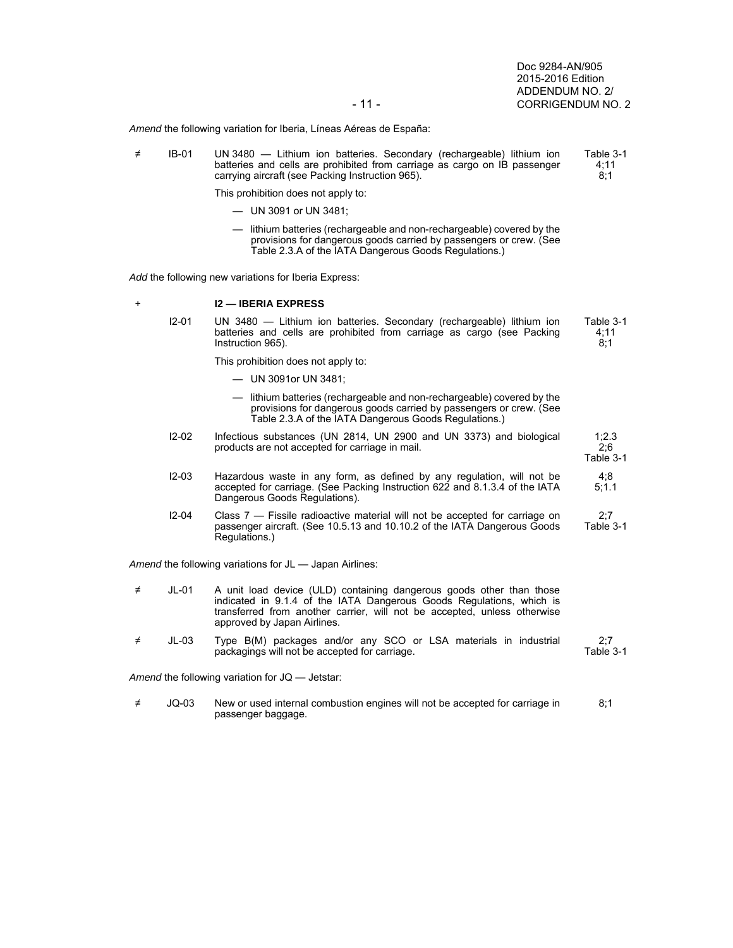1;2.3 2;6

4;8 5;1.1

*Amend* the following variation for Iberia, Líneas Aéreas de España:

- ≠ IB-01 UN 3480 Lithium ion batteries. Secondary (rechargeable) lithium ion batteries and cells are prohibited from carriage as cargo on IB passenger carrying aircraft (see Packing Instruction 965). Table 3-1 4;11 8;1 This prohibition does not apply to:
	- UN 3091 or UN 3481;
		- lithium batteries (rechargeable and non-rechargeable) covered by the provisions for dangerous goods carried by passengers or crew. (See Table 2.3.A of the IATA Dangerous Goods Regulations.)

*Add* the following new variations for Iberia Express:

### + **I2 — IBERIA EXPRESS**

 I2-01 UN 3480 — Lithium ion batteries. Secondary (rechargeable) lithium ion batteries and cells are prohibited from carriage as cargo (see Packing Instruction 965). Table 3-1 4;11  $8:1$ 

This prohibition does not apply to:

- UN 3091or UN 3481;
- lithium batteries (rechargeable and non-rechargeable) covered by the provisions for dangerous goods carried by passengers or crew. (See Table 2.3.A of the IATA Dangerous Goods Regulations.)
- I2-02 Infectious substances (UN 2814, UN 2900 and UN 3373) and biological products are not accepted for carriage in mail. Table 3-1
- I2-03 Hazardous waste in any form, as defined by any regulation, will not be accepted for carriage. (See Packing Instruction 622 and 8.1.3.4 of the lATA Dangerous Goods Regulations).
- I2-04 Class 7 Fissile radioactive material will not be accepted for carriage on passenger aircraft. (See 10.5.13 and 10.10.2 of the IATA Dangerous Goods Regulations.) 2;7 Table 3-1

*Amend* the following variations for JL — Japan Airlines:

| $\neq$ | JI -01 | A unit load device (ULD) containing dangerous goods other than those     |
|--------|--------|--------------------------------------------------------------------------|
|        |        | indicated in 9.1.4 of the IATA Dangerous Goods Regulations, which is     |
|        |        | transferred from another carrier, will not be accepted, unless otherwise |
|        |        | approved by Japan Airlines.                                              |

≠ JL-03 Type B(M) packages and/or any SCO or LSA materials in industrial packagings will not be accepted for carriage. 2;7 Table 3-1

*Amend* the following variation for JQ — Jetstar:

≠ JQ-03 New or used internal combustion engines will not be accepted for carriage in passenger baggage. 8;1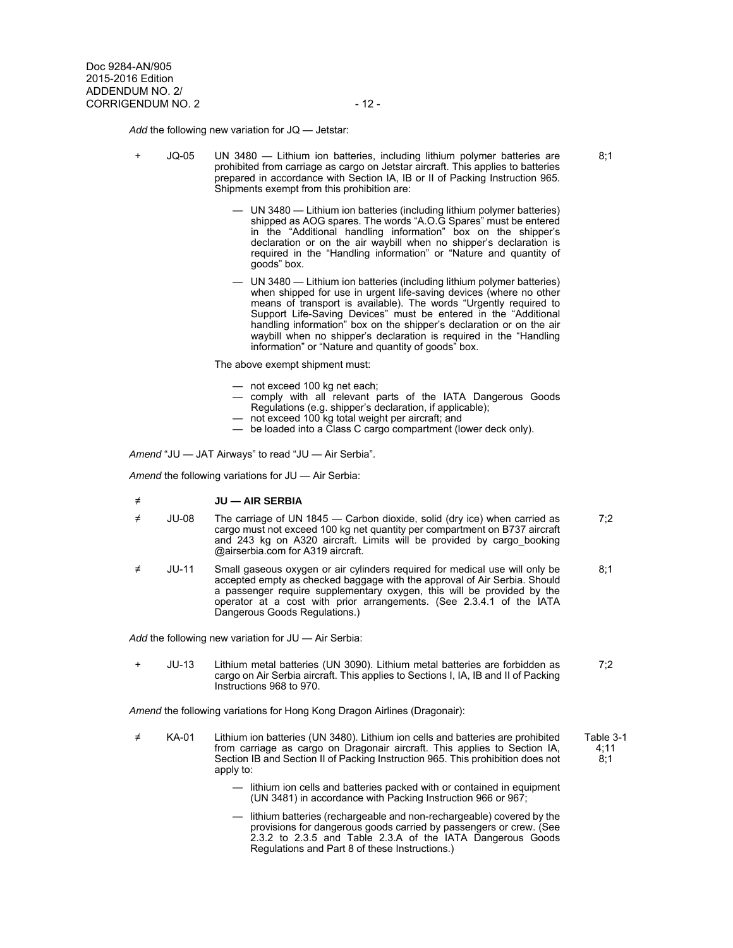*Add* the following new variation for JQ — Jetstar:

- + JQ-05 UN 3480 Lithium ion batteries, including lithium polymer batteries are prohibited from carriage as cargo on Jetstar aircraft. This applies to batteries prepared in accordance with Section IA, IB or II of Packing Instruction 965. Shipments exempt from this prohibition are:
	- UN 3480 Lithium ion batteries (including lithium polymer batteries) shipped as AOG spares. The words "A.O.G Spares" must be entered in the "Additional handling information" box on the shipper's declaration or on the air waybill when no shipper's declaration is required in the "Handling information" or "Nature and quantity of goods" box.
	- UN 3480 Lithium ion batteries (including lithium polymer batteries) when shipped for use in urgent life-saving devices (where no other means of transport is available). The words "Urgently required to Support Life-Saving Devices" must be entered in the "Additional handling information" box on the shipper's declaration or on the air waybill when no shipper's declaration is required in the "Handling information" or "Nature and quantity of goods" box.

The above exempt shipment must:

- not exceed 100 kg net each;
- comply with all relevant parts of the IATA Dangerous Goods Regulations (e.g. shipper's declaration, if applicable);
- not exceed 100 kg total weight per aircraft; and
- be loaded into a Class C cargo compartment (lower deck only).

*Amend* "JU — JAT Airways" to read "JU — Air Serbia".

*Amend* the following variations for JU — Air Serbia:

- ≠ **JU AIR SERBIA**
- ≠ JU-08 The carriage of UN 1845 Carbon dioxide, solid (dry ice) when carried as cargo must not exceed 100 kg net quantity per compartment on B737 aircraft and 243 kg on A320 aircraft. Limits will be provided by cargo\_booking @airserbia.com for A319 aircraft. 7;2
- ≠ JU-11 Small gaseous oxygen or air cylinders required for medical use will only be accepted empty as checked baggage with the approval of Air Serbia. Should a passenger require supplementary oxygen, this will be provided by the operator at a cost with prior arrangements. (See 2.3.4.1 of the IATA Dangerous Goods Regulations.) 8;1

*Add* the following new variation for JU — Air Serbia:

+ JU-13 Lithium metal batteries (UN 3090). Lithium metal batteries are forbidden as cargo on Air Serbia aircraft. This applies to Sections I, IA, IB and II of Packing Instructions 968 to 970. 7;2

*Amend* the following variations for Hong Kong Dragon Airlines (Dragonair):

- ≠ KA-01 Lithium ion batteries (UN 3480). Lithium ion cells and batteries are prohibited from carriage as cargo on Dragonair aircraft. This applies to Section IA, Section IB and Section II of Packing Instruction 965. This prohibition does not apply to: Table 3-1 4;11 8;1
	- lithium ion cells and batteries packed with or contained in equipment (UN 3481) in accordance with Packing Instruction 966 or 967;
	- lithium batteries (rechargeable and non-rechargeable) covered by the provisions for dangerous goods carried by passengers or crew. (See 2.3.2 to 2.3.5 and Table 2.3.A of the IATA Dangerous Goods Regulations and Part 8 of these Instructions.)

 $8:1$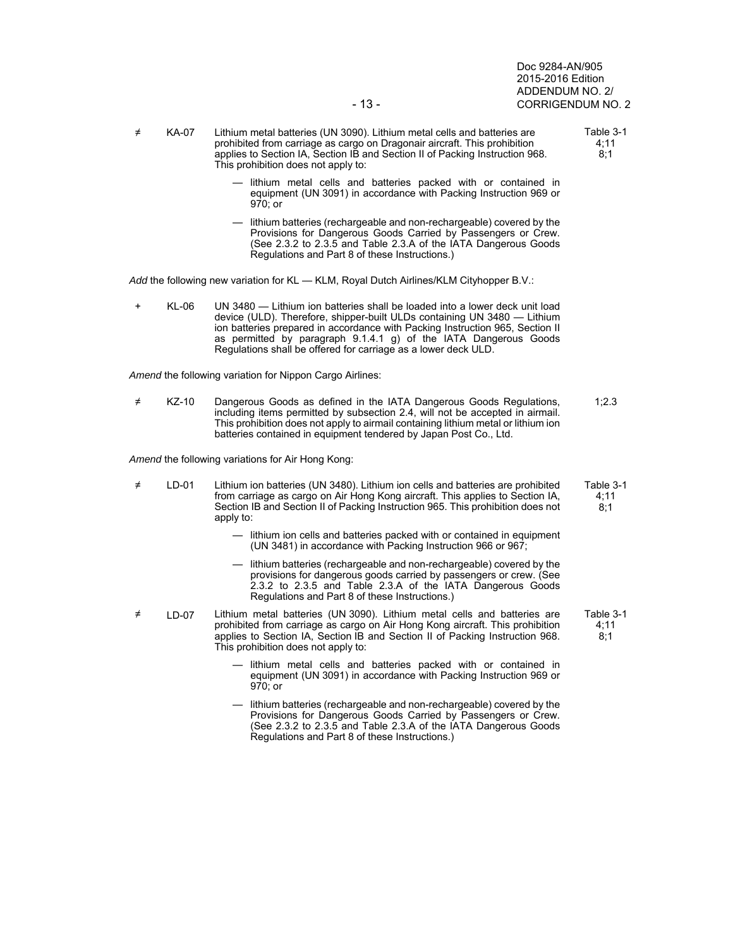Doc 9284-AN/905 2015-2016 Edition ADDENDUM NO. 2/ - 13 - CORRIGENDUM NO. 2

- ≠ KA-07 Lithium metal batteries (UN 3090). Lithium metal cells and batteries are prohibited from carriage as cargo on Dragonair aircraft. This prohibition applies to Section IA, Section IB and Section II of Packing Instruction 968. This prohibition does not apply to:
	- lithium metal cells and batteries packed with or contained in equipment (UN 3091) in accordance with Packing Instruction 969 or 970; or
	- lithium batteries (rechargeable and non-rechargeable) covered by the Provisions for Dangerous Goods Carried by Passengers or Crew. (See 2.3.2 to 2.3.5 and Table 2.3.A of the IATA Dangerous Goods Regulations and Part 8 of these Instructions.)

*Add* the following new variation for KL — KLM, Royal Dutch Airlines/KLM Cityhopper B.V.:

+ KL-06 UN 3480 — Lithium ion batteries shall be loaded into a lower deck unit load device (ULD). Therefore, shipper-built ULDs containing UN 3480 — Lithium ion batteries prepared in accordance with Packing Instruction 965, Section II as permitted by paragraph 9.1.4.1 g) of the IATA Dangerous Goods Regulations shall be offered for carriage as a lower deck ULD.

*Amend* the following variation for Nippon Cargo Airlines:

≠ KZ-10 Dangerous Goods as defined in the IATA Dangerous Goods Regulations, including items permitted by subsection 2.4, will not be accepted in airmail. This prohibition does not apply to airmail containing lithium metal or lithium ion batteries contained in equipment tendered by Japan Post Co., Ltd. 1;2.3

*Amend* the following variations for Air Hong Kong:

- ≠ LD-01 Lithium ion batteries (UN 3480). Lithium ion cells and batteries are prohibited from carriage as cargo on Air Hong Kong aircraft. This applies to Section IA, Section IB and Section II of Packing Instruction 965. This prohibition does not apply to: Table 3-1 4;11 8;1
	- lithium ion cells and batteries packed with or contained in equipment (UN 3481) in accordance with Packing Instruction 966 or 967;
	- lithium batteries (rechargeable and non-rechargeable) covered by the provisions for dangerous goods carried by passengers or crew. (See 2.3.2 to 2.3.5 and Table 2.3.A of the IATA Dangerous Goods Regulations and Part 8 of these Instructions.)
- ≠ LD-07 Lithium metal batteries (UN 3090). Lithium metal cells and batteries are prohibited from carriage as cargo on Air Hong Kong aircraft. This prohibition applies to Section IA, Section IB and Section II of Packing Instruction 968. This prohibition does not apply to:
	- lithium metal cells and batteries packed with or contained in equipment (UN 3091) in accordance with Packing Instruction 969 or 970; or
	- lithium batteries (rechargeable and non-rechargeable) covered by the Provisions for Dangerous Goods Carried by Passengers or Crew. (See 2.3.2 to 2.3.5 and Table 2.3.A of the IATA Dangerous Goods Regulations and Part 8 of these Instructions.)

Table 3-1 4;11 8;1

Table 3-1

8;1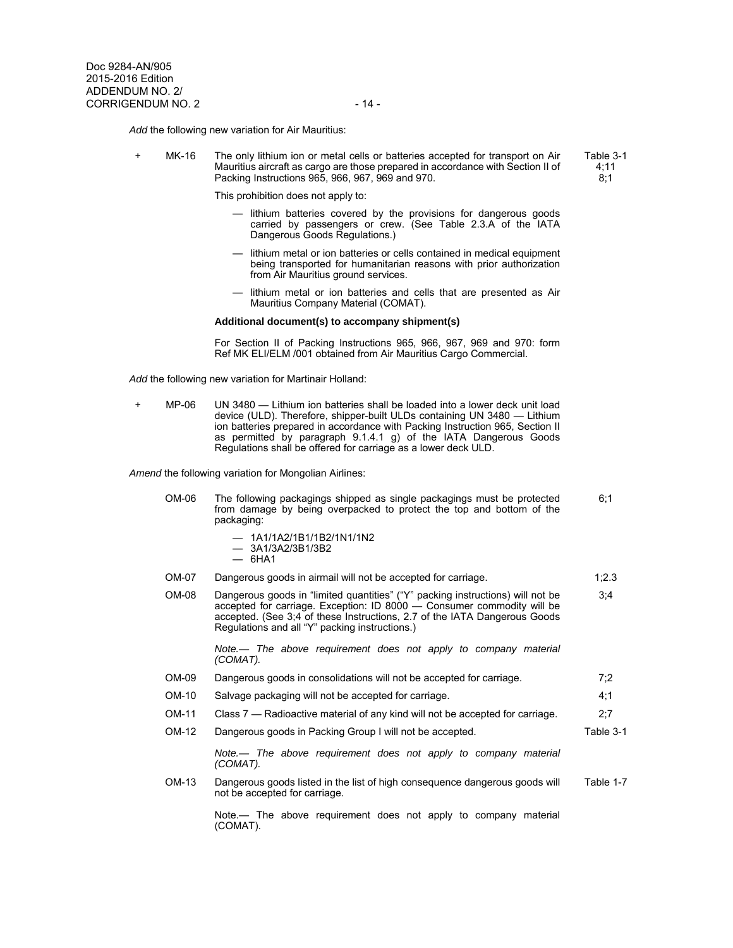*Add* the following new variation for Air Mauritius:

+ MK-16 The only lithium ion or metal cells or batteries accepted for transport on Air Mauritius aircraft as cargo are those prepared in accordance with Section II of Packing Instructions 965, 966, 967, 969 and 970.

This prohibition does not apply to:

- lithium batteries covered by the provisions for dangerous goods carried by passengers or crew. (See Table 2.3.A of the IATA Dangerous Goods Regulations.)
- lithium metal or ion batteries or cells contained in medical equipment being transported for humanitarian reasons with prior authorization from Air Mauritius ground services.
- lithium metal or ion batteries and cells that are presented as Air Mauritius Company Material (COMAT).

### **Additional document(s) to accompany shipment(s)**

For Section II of Packing Instructions 965, 966, 967, 969 and 970: form Ref MK ELI/ELM /001 obtained from Air Mauritius Cargo Commercial.

*Add* the following new variation for Martinair Holland:

+ MP-06 UN 3480 — Lithium ion batteries shall be loaded into a lower deck unit load device (ULD). Therefore, shipper-built ULDs containing UN 3480 — Lithium ion batteries prepared in accordance with Packing Instruction 965, Section II as permitted by paragraph 9.1.4.1 g) of the IATA Dangerous Goods Regulations shall be offered for carriage as a lower deck ULD.

*Amend* the following variation for Mongolian Airlines:

| $OM-06$ | The following packagings shipped as single packagings must be protected<br>from damage by being overpacked to protect the top and bottom of the<br>packaging:                                                                                                                           | 6,1       |
|---------|-----------------------------------------------------------------------------------------------------------------------------------------------------------------------------------------------------------------------------------------------------------------------------------------|-----------|
|         | $-$ 1A1/1A2/1B1/1B2/1N1/1N2<br>$-$ 3A1/3A2/3B1/3B2<br>$-6H4$                                                                                                                                                                                                                            |           |
| OM-07   | Dangerous goods in airmail will not be accepted for carriage.                                                                                                                                                                                                                           | 1.2.3     |
| $OM-08$ | Dangerous goods in "limited quantities" ("Y" packing instructions) will not be<br>accepted for carriage. Exception: ID 8000 - Consumer commodity will be<br>accepted. (See 3:4 of these Instructions, 2.7 of the IATA Dangerous Goods<br>Regulations and all "Y" packing instructions.) | 3,4       |
|         | Note.— The above requirement does not apply to company material<br>(COMAT).                                                                                                                                                                                                             |           |
| OM-09   | Dangerous goods in consolidations will not be accepted for carriage.                                                                                                                                                                                                                    | 7,2       |
| OM-10   | Salvage packaging will not be accepted for carriage.                                                                                                                                                                                                                                    | 4:1       |
| OM-11   | Class 7 — Radioactive material of any kind will not be accepted for carriage.                                                                                                                                                                                                           | 2,7       |
| OM-12   | Dangerous goods in Packing Group I will not be accepted.                                                                                                                                                                                                                                | Table 3-1 |
|         | Note.— The above requirement does not apply to company material<br>(COMAT).                                                                                                                                                                                                             |           |
| OM-13   | Dangerous goods listed in the list of high consequence dangerous goods will<br>not be accepted for carriage.                                                                                                                                                                            | Table 1-7 |
|         | Note.— The above requirement does not apply to company material<br>(COMAT).                                                                                                                                                                                                             |           |

Table 3-1 4;11 8;1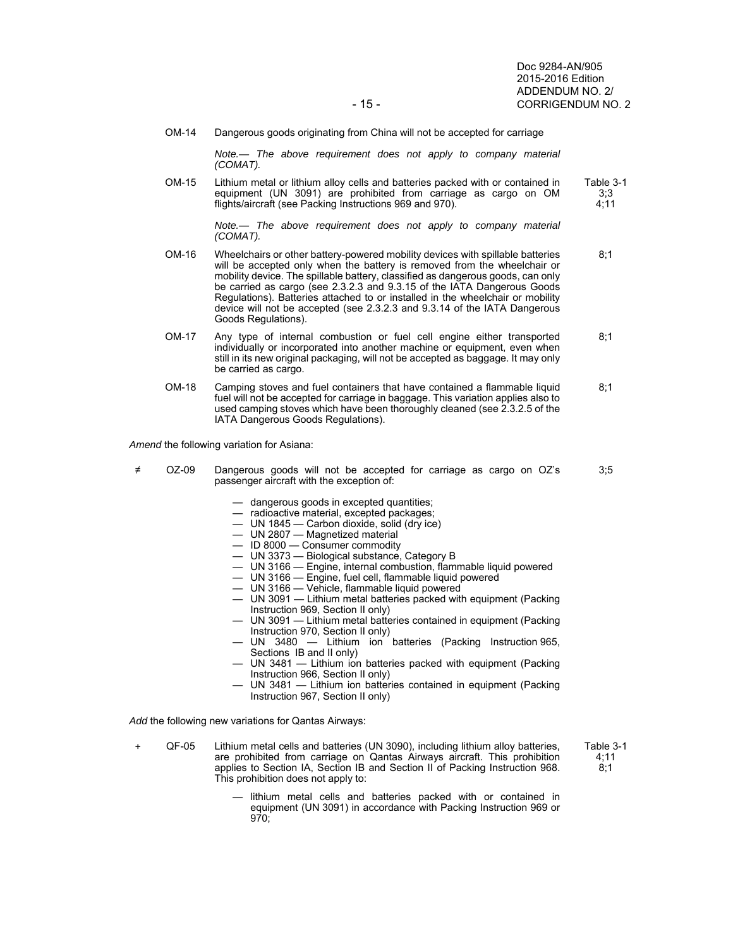Doc 9284-AN/905 2015-2016 Edition ADDENDUM NO. 2/ - 15 - CORRIGENDUM NO. 2

> 3;3 4;11

OM-14 Dangerous goods originating from China will not be accepted for carriage

*Note.— The above requirement does not apply to company material (COMAT).* 

 OM-15 Lithium metal or lithium alloy cells and batteries packed with or contained in equipment (UN 3091) are prohibited from carriage as cargo on OM flights/aircraft (see Packing Instructions 969 and 970). Table 3-1

> *Note.— The above requirement does not apply to company material (COMAT).*

- OM-16 Wheelchairs or other battery-powered mobility devices with spillable batteries will be accepted only when the battery is removed from the wheelchair or mobility device. The spillable battery, classified as dangerous goods, can only be carried as cargo (see 2.3.2.3 and 9.3.15 of the IATA Dangerous Goods Regulations). Batteries attached to or installed in the wheelchair or mobility device will not be accepted (see 2.3.2.3 and 9.3.14 of the IATA Dangerous Goods Regulations). 8;1
- OM-17 Any type of internal combustion or fuel cell engine either transported individually or incorporated into another machine or equipment, even when still in its new original packaging, will not be accepted as baggage. It may only be carried as cargo.  $8:1$
- OM-18 Camping stoves and fuel containers that have contained a flammable liquid fuel will not be accepted for carriage in baggage. This variation applies also to used camping stoves which have been thoroughly cleaned (see 2.3.2.5 of the IATA Dangerous Goods Regulations). 8;1

*Amend* the following variation for Asiana:

- ≠ OZ-09 Dangerous goods will not be accepted for carriage as cargo on OZ's passenger aircraft with the exception of: 3;5
	- dangerous goods in excepted quantities;
	- radioactive material, excepted packages;
	- UN 1845 Carbon dioxide, solid (dry ice)
	- UN 2807 Magnetized material
	- ID 8000 Consumer commodity
	- UN 3373 Biological substance, Category B
		- UN 3166 Engine, internal combustion, flammable liquid powered
			- UN 3166 Engine, fuel cell, flammable liquid powered
	- UN 3166 Vehicle, flammable liquid powered
	- UN 3091 Lithium metal batteries packed with equipment (Packing Instruction 969, Section II only)
		- UN 3091 Lithium metal batteries contained in equipment (Packing Instruction 970, Section II only)
		- UN 3480 Lithium ion batteries (Packing Instruction 965, Sections IB and II only)
		- UN 3481 Lithium ion batteries packed with equipment (Packing Instruction 966, Section II only)
		- UN 3481 Lithium ion batteries contained in equipment (Packing Instruction 967, Section II only)

*Add* the following new variations for Qantas Airways:

+ QF-05 Lithium metal cells and batteries (UN 3090), including lithium alloy batteries, are prohibited from carriage on Qantas Airways aircraft. This prohibition applies to Section IA, Section IB and Section II of Packing Instruction 968. This prohibition does not apply to:

> lithium metal cells and batteries packed with or contained in equipment (UN 3091) in accordance with Packing Instruction 969 or 970;

Table 3-1 4;11 8;1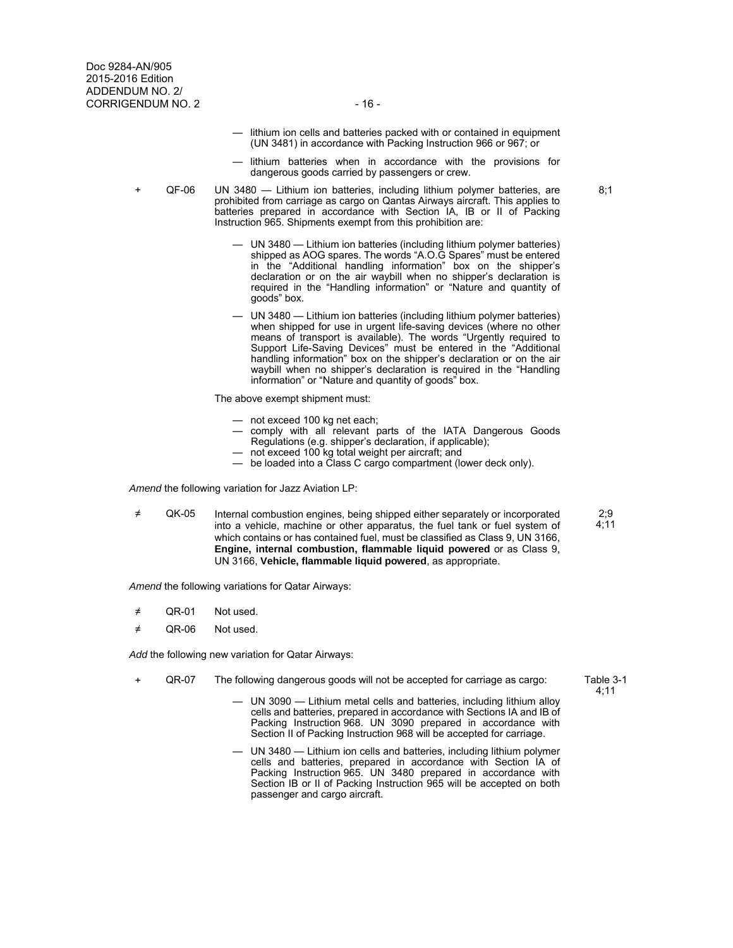- lithium ion cells and batteries packed with or contained in equipment (UN 3481) in accordance with Packing Instruction 966 or 967; or
- lithium batteries when in accordance with the provisions for dangerous goods carried by passengers or crew.
- + QF-06 UN 3480 Lithium ion batteries, including lithium polymer batteries, are prohibited from carriage as cargo on Qantas Airways aircraft. This applies to batteries prepared in accordance with Section IA, IB or II of Packing Instruction 965. Shipments exempt from this prohibition are:
	- UN 3480 Lithium ion batteries (including lithium polymer batteries) shipped as AOG spares. The words "A.O.G Spares" must be entered in the "Additional handling information" box on the shipper's declaration or on the air waybill when no shipper's declaration is required in the "Handling information" or "Nature and quantity of goods" box.
	- UN 3480 Lithium ion batteries (including lithium polymer batteries) when shipped for use in urgent life-saving devices (where no other means of transport is available). The words "Urgently required to Support Life-Saving Devices" must be entered in the "Additional handling information" box on the shipper's declaration or on the air waybill when no shipper's declaration is required in the "Handling information" or "Nature and quantity of goods" box.

The above exempt shipment must:

- not exceed 100 kg net each;
- comply with all relevant parts of the IATA Dangerous Goods Regulations (e.g. shipper's declaration, if applicable);
- not exceed 100 kg total weight per aircraft; and
- be loaded into a Class C cargo compartment (lower deck only).

*Amend* the following variation for Jazz Aviation LP:

≠ QK-05 Internal combustion engines, being shipped either separately or incorporated into a vehicle, machine or other apparatus, the fuel tank or fuel system of which contains or has contained fuel, must be classified as Class 9, UN 3166, **Engine, internal combustion, flammable liquid powered** or as Class 9, UN 3166, **Vehicle, flammable liquid powered**, as appropriate.

*Amend* the following variations for Qatar Airways:

- ≠ QR-01 Not used.
- ≠ QR-06 Not used.

*Add* the following new variation for Qatar Airways:

- + QR-07 The following dangerous goods will not be accepted for carriage as cargo:
	- UN 3090 Lithium metal cells and batteries, including lithium alloy cells and batteries, prepared in accordance with Sections IA and IB of Packing Instruction 968. UN 3090 prepared in accordance with Section II of Packing Instruction 968 will be accepted for carriage.
	- UN 3480 Lithium ion cells and batteries, including lithium polymer cells and batteries, prepared in accordance with Section IA of Packing Instruction 965. UN 3480 prepared in accordance with Section IB or II of Packing Instruction 965 will be accepted on both passenger and cargo aircraft.

Table 3-1 4;11

 $2.9$ 4;11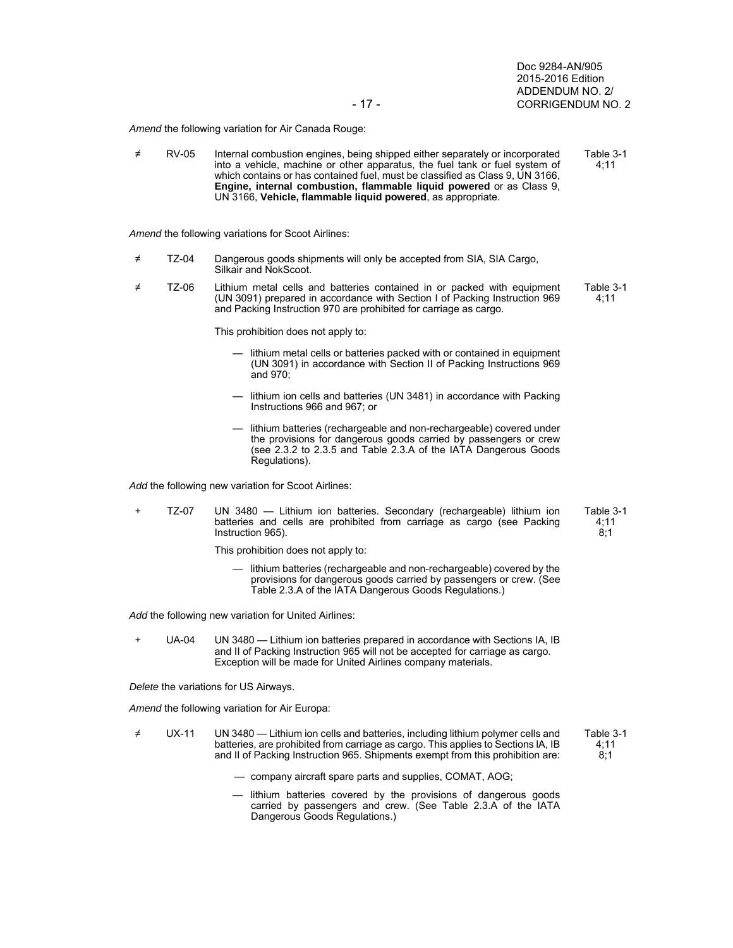*Amend* the following variation for Air Canada Rouge:

≠ RV-05 Internal combustion engines, being shipped either separately or incorporated into a vehicle, machine or other apparatus, the fuel tank or fuel system of which contains or has contained fuel, must be classified as Class 9, UN 3166, **Engine, internal combustion, flammable liquid powered** or as Class 9, UN 3166, **Vehicle, flammable liquid powered**, as appropriate. Table 3-1 4;11

*Amend* the following variations for Scoot Airlines:

- ≠ TZ-04 Dangerous goods shipments will only be accepted from SIA, SIA Cargo, Silkair and NokScoot.
- ≠ TZ-06 Lithium metal cells and batteries contained in or packed with equipment (UN 3091) prepared in accordance with Section I of Packing Instruction 969 and Packing Instruction 970 are prohibited for carriage as cargo. Table 3-1 4;11

This prohibition does not apply to:

- lithium metal cells or batteries packed with or contained in equipment (UN 3091) in accordance with Section II of Packing Instructions 969 and 970;
- lithium ion cells and batteries (UN 3481) in accordance with Packing Instructions 966 and 967; or
- lithium batteries (rechargeable and non-rechargeable) covered under the provisions for dangerous goods carried by passengers or crew (see 2.3.2 to 2.3.5 and Table 2.3.A of the IATA Dangerous Goods Regulations).

*Add* the following new variation for Scoot Airlines:

+ TZ-07 UN 3480 — Lithium ion batteries. Secondary (rechargeable) lithium ion batteries and cells are prohibited from carriage as cargo (see Packing Instruction 965).

This prohibition does not apply to:

 — lithium batteries (rechargeable and non-rechargeable) covered by the provisions for dangerous goods carried by passengers or crew. (See Table 2.3.A of the IATA Dangerous Goods Regulations.)

*Add* the following new variation for United Airlines:

+ UA-04 UN 3480 — Lithium ion batteries prepared in accordance with Sections IA, IB and II of Packing Instruction 965 will not be accepted for carriage as cargo. Exception will be made for United Airlines company materials.

*Delete* the variations for US Airways.

*Amend* the following variation for Air Europa:

≠ UX-11 UN 3480 — Lithium ion cells and batteries, including lithium polymer cells and batteries, are prohibited from carriage as cargo. This applies to Sections lA, IB and II of Packing Instruction 965. Shipments exempt from this prohibition are: Table 3-1 4;11 8;1

— company aircraft spare parts and supplies, COMAT, AOG;

 — lithium batteries covered by the provisions of dangerous goods carried by passengers and crew. (See Table 2.3.A of the IATA Dangerous Goods Regulations.)

Table 3-1 4;11  $8:1$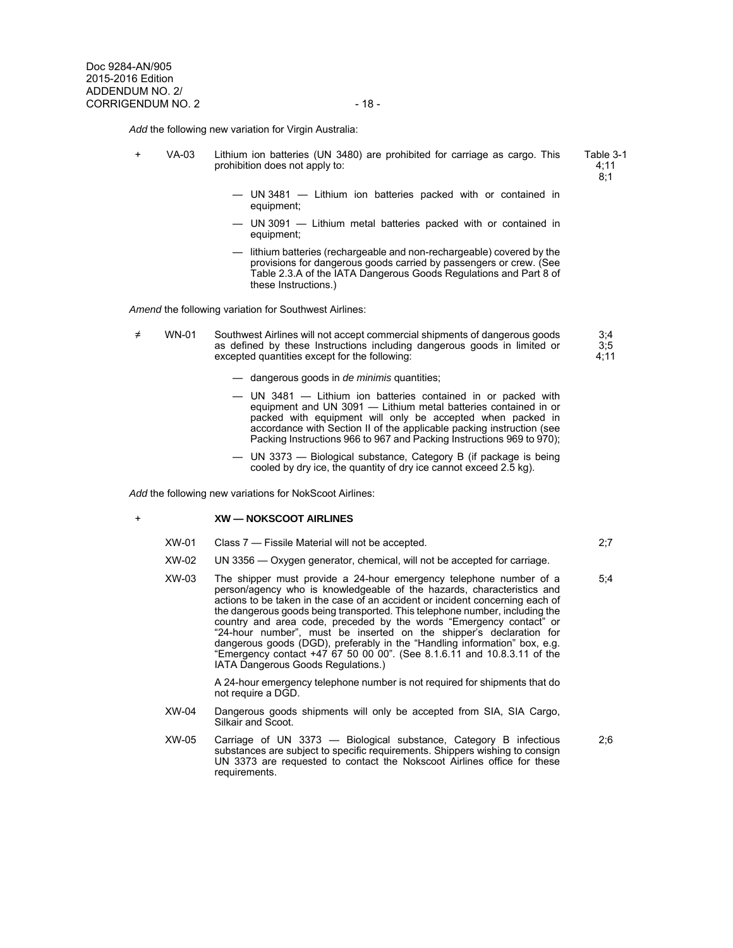*Add* the following new variation for Virgin Australia:

VA-03 Lithium ion batteries (UN 3480) are prohibited for carriage as cargo. This prohibition does not apply to: Table 3-1

4;11 8;1

- UN 3481 Lithium ion batteries packed with or contained in equipment;
- UN 3091 Lithium metal batteries packed with or contained in equipment;
- lithium batteries (rechargeable and non-rechargeable) covered by the provisions for dangerous goods carried by passengers or crew. (See Table 2.3.A of the IATA Dangerous Goods Regulations and Part 8 of these Instructions.)

*Amend* the following variation for Southwest Airlines:

- ≠ WN-01 Southwest Airlines will not accept commercial shipments of dangerous goods as defined by these Instructions including dangerous goods in limited or excepted quantities except for the following: 3;4 3;5 4;11
	- dangerous goods in *de minimis* quantities;
	- UN 3481 Lithium ion batteries contained in or packed with equipment and UN 3091 — Lithium metal batteries contained in or packed with equipment will only be accepted when packed in accordance with Section II of the applicable packing instruction (see Packing Instructions 966 to 967 and Packing Instructions 969 to 970);
	- UN 3373 Biological substance, Category B (if package is being cooled by dry ice, the quantity of dry ice cannot exceed 2.5 kg).

*Add* the following new variations for NokScoot Airlines:

## + **XW — NOKSCOOT AIRLINES**

- XW-01 Class 7 Fissile Material will not be accepted. 2;7
- XW-02 UN 3356 Oxygen generator, chemical, will not be accepted for carriage.
- XW-03 The shipper must provide a 24-hour emergency telephone number of a person/agency who is knowledgeable of the hazards, characteristics and actions to be taken in the case of an accident or incident concerning each of the dangerous goods being transported. This telephone number, including the country and area code, preceded by the words "Emergency contact" or "24-hour number", must be inserted on the shipper's declaration for dangerous goods (DGD), preferably in the "Handling information" box, e.g. "Emergency contact +47 67 50 00 00". (See 8.1.6.11 and 10.8.3.11 of the IATA Dangerous Goods Regulations.)

 A 24-hour emergency telephone number is not required for shipments that do not require a DGD.

- XW-04 Dangerous goods shipments will only be accepted from SIA, SIA Cargo, Silkair and Scoot.
- XW-05 Carriage of UN 3373 Biological substance, Category B infectious substances are subject to specific requirements. Shippers wishing to consign UN 3373 are requested to contact the Nokscoot Airlines office for these requirements.

2;6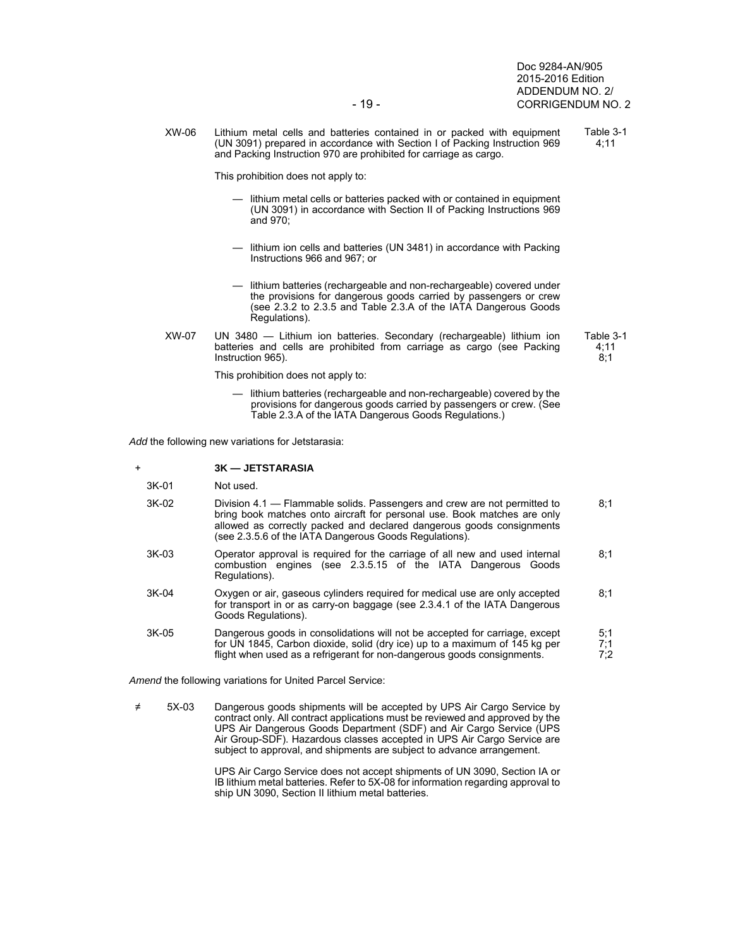Doc 9284-AN/905 2015-2016 Edition ADDENDUM NO. 2/ - 19 - CORRIGENDUM NO. 2

 XW-06 Lithium metal cells and batteries contained in or packed with equipment (UN 3091) prepared in accordance with Section I of Packing Instruction 969 and Packing Instruction 970 are prohibited for carriage as cargo. Table 3-1 4;11

This prohibition does not apply to:

- lithium metal cells or batteries packed with or contained in equipment (UN 3091) in accordance with Section II of Packing Instructions 969 and 970;
- lithium ion cells and batteries (UN 3481) in accordance with Packing Instructions 966 and 967; or
- lithium batteries (rechargeable and non-rechargeable) covered under the provisions for dangerous goods carried by passengers or crew (see 2.3.2 to 2.3.5 and Table 2.3.A of the IATA Dangerous Goods Regulations).
- XW-07 UN 3480 Lithium ion batteries. Secondary (rechargeable) lithium ion batteries and cells are prohibited from carriage as cargo (see Packing Instruction 965).

This prohibition does not apply to:

 — lithium batteries (rechargeable and non-rechargeable) covered by the provisions for dangerous goods carried by passengers or crew. (See Table 2.3.A of the IATA Dangerous Goods Regulations.)

*Add* the following new variations for Jetstarasia:

|  |  | <b>3K — JETSTARASIA</b> |
|--|--|-------------------------|
|--|--|-------------------------|

- 3K-01 Not used.
- 3K-02 Division 4.1 Flammable solids. Passengers and crew are not permitted to bring book matches onto aircraft for personal use. Book matches are only allowed as correctly packed and declared dangerous goods consignments (see 2.3.5.6 of the IATA Dangerous Goods Regulations).  $8:1$
- 3K-03 Operator approval is required for the carriage of all new and used internal combustion engines (see 2.3.5.15 of the IATA Dangerous Goods Regulations).  $8:1$
- 3K-04 Oxygen or air, gaseous cylinders required for medical use are only accepted for transport in or as carry-on baggage (see 2.3.4.1 of the IATA Dangerous Goods Regulations). 8;1
- 3K-05 Dangerous goods in consolidations will not be accepted for carriage, except for UN 1845, Carbon dioxide, solid (dry ice) up to a maximum of 145 kg per flight when used as a refrigerant for non-dangerous goods consignments. 5;1 7;1 7;2

*Amend* the following variations for United Parcel Service:

≠ 5X-03 Dangerous goods shipments will be accepted by UPS Air Cargo Service by contract only. All contract applications must be reviewed and approved by the UPS Air Dangerous Goods Department (SDF) and Air Cargo Service (UPS Air Group-SDF). Hazardous classes accepted in UPS Air Cargo Service are subject to approval, and shipments are subject to advance arrangement.

> UPS Air Cargo Service does not accept shipments of UN 3090, Section IA or IB lithium metal batteries. Refer to 5X-08 for information regarding approval to ship UN 3090, Section II lithium metal batteries.

Table 3-1 4;11